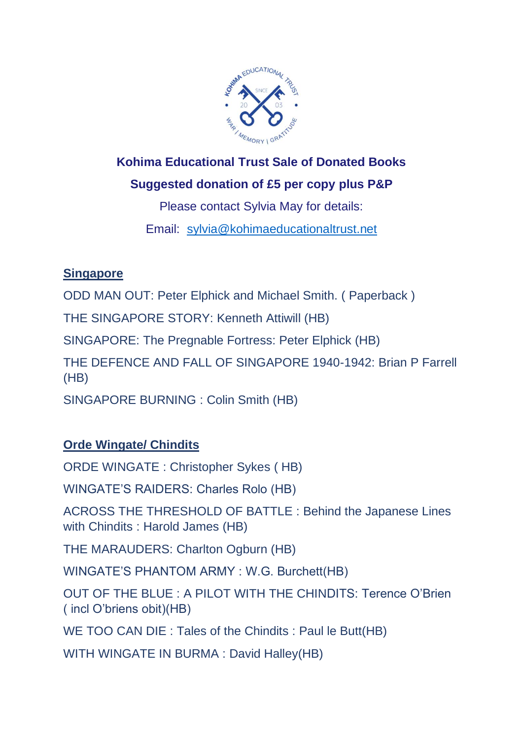

# **Kohima Educational Trust Sale of Donated Books Suggested donation of £5 per copy plus P&P**

Please contact Sylvia May for details: Email: [sylvia@kohimaeducationaltrust.net](http://sylvia@kohimaeducationaltrust.net/)

## **Singapore**

ODD MAN OUT: Peter Elphick and Michael Smith. ( Paperback )

THE SINGAPORE STORY: Kenneth Attiwill (HB)

SINGAPORE: The Pregnable Fortress: Peter Elphick (HB)

THE DEFENCE AND FALL OF SINGAPORE 1940-1942: Brian P Farrell (HB)

SINGAPORE BURNING : Colin Smith (HB)

## **Orde Wingate/ Chindits**

ORDE WINGATE : Christopher Sykes ( HB)

WINGATE'S RAIDERS: Charles Rolo (HB)

ACROSS THE THRESHOLD OF BATTLE : Behind the Japanese Lines with Chindits : Harold James (HB)

THE MARAUDERS: Charlton Ogburn (HB)

WINGATE'S PHANTOM ARMY : W.G. Burchett(HB)

OUT OF THE BLUE : A PILOT WITH THE CHINDITS: Terence O'Brien ( incl O'briens obit)(HB)

WE TOO CAN DIE : Tales of the Chindits : Paul le Butt(HB)

WITH WINGATE IN BURMA : David Halley(HB)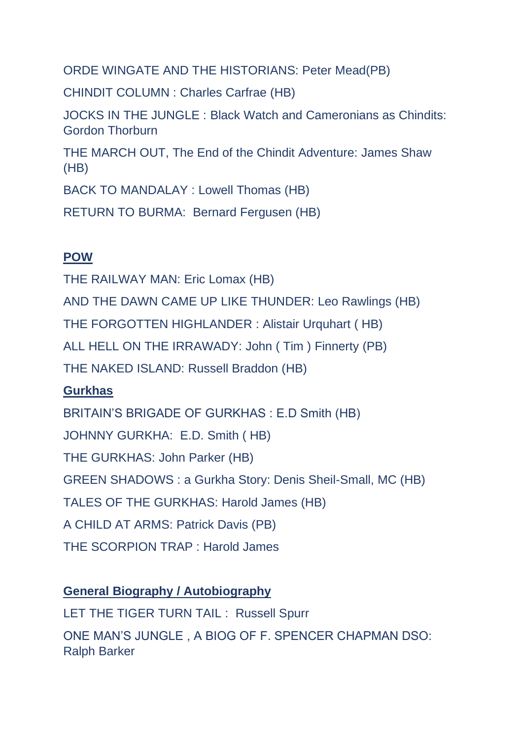ORDE WINGATE AND THE HISTORIANS: Peter Mead(PB)

CHINDIT COLUMN : Charles Carfrae (HB)

JOCKS IN THE JUNGLE : Black Watch and Cameronians as Chindits: Gordon Thorburn

THE MARCH OUT, The End of the Chindit Adventure: James Shaw (HB)

BACK TO MANDALAY : Lowell Thomas (HB)

RETURN TO BURMA: Bernard Fergusen (HB)

#### **POW**

THE RAILWAY MAN: Eric Lomax (HB) AND THE DAWN CAME UP LIKE THUNDER: Leo Rawlings (HB) THE FORGOTTEN HIGHLANDER : Alistair Urquhart ( HB) ALL HELL ON THE IRRAWADY: John ( Tim ) Finnerty (PB) THE NAKED ISLAND: Russell Braddon (HB)

### **Gurkhas**

BRITAIN'S BRIGADE OF GURKHAS : E.D Smith (HB) JOHNNY GURKHA: E.D. Smith ( HB) THE GURKHAS: John Parker (HB) GREEN SHADOWS : a Gurkha Story: Denis Sheil-Small, MC (HB) TALES OF THE GURKHAS: Harold James (HB) A CHILD AT ARMS: Patrick Davis (PB) THE SCORPION TRAP : Harold James

#### **General Biography / Autobiography**

LET THE TIGER TURN TAIL : Russell Spurr

ONE MAN'S JUNGLE , A BIOG OF F. SPENCER CHAPMAN DSO: Ralph Barker